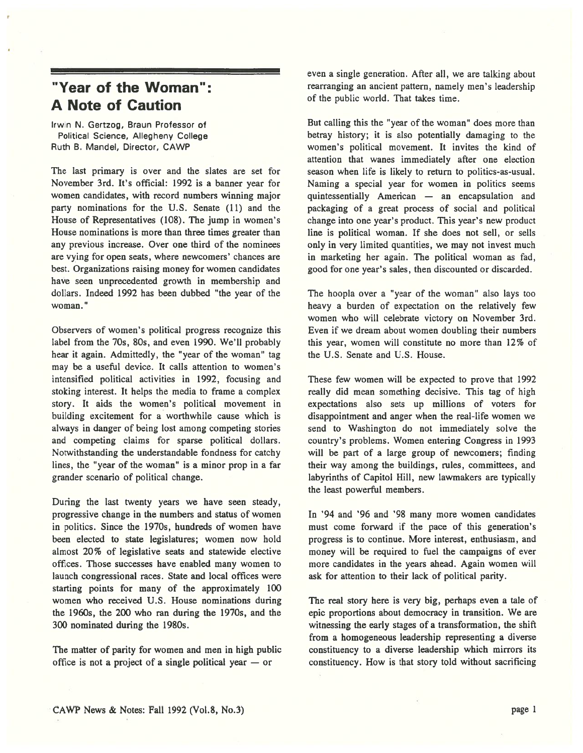## "Year of the Woman": A Note of Caution

Irwin N. Gertzog, Braun Professor of Political Science, Allegheny College Ruth B. Mandel, Director, CAWP

The last primary is over and the slates are set for November 3rd. It's official: 1992 is <sup>a</sup> banner year for women candidates, with record numbers winning major party nominations for the U.S. Senate (11) and the House of Representatives (108). The jump in women's House nominations is more than three times greater than any previous increase. Over one third of the nominees are vying for open seats, where newcomers' chances are best. Organizations raising money for women candidates have seen unprecedented growth in membership and dollars. Indeed 1992 has been dubbed "the year of the woman."

Observers of women's political progress recognize this label from the 70s, 80s, and even 1990. We'll probably hear it again. Admittedly, the "year of the woman" tag may be <sup>a</sup> useful device. It calls attention to women's intensified political activities in 1992, focusing and stoking interest. It helps the media to frame <sup>a</sup> complex story. It aids the women's political movement in building excitement for <sup>a</sup> worthwhile cause which is always in danger of being lost among competing stories and competing claims for sparse political dollars. Notwithstanding the understandable fondness for catchy lines, the "year of the woman" is <sup>a</sup> minor prop in <sup>a</sup> far grander scenario of political change.

During the last twenty years we have seen steady, progressive change in the numbers and status of women in politics. Since the 1970s, hundreds of women have been elected to state legislatures; women now hold almost 20% of legislative seats and statewide elective offices. Those successes have enabled many women to launch congressional races. State and local offices were starting points for many of the approximately 100 women who received U.S. House nominations during the 1960s, the 200 who ran during the 1970s, and the 300 nominated during the 1980s.

The matter of parity for women and men in high public office is not <sup>a</sup> project of <sup>a</sup> single political year — or

even <sup>a</sup> single generation. After all, we are talking about rearranging an ancient pattern, namely men's leadership of the public world. That takes time.

But calling this the "year of the woman" does more than betray history; it is also potentially damaging to the women's political movement. It invites the kind of attention that wanes immediately after one election season when life is likely to return to politics-as-usual. Naming <sup>a</sup> special year for women in politics seems quintessentially American — an encapsulation and packaging of <sup>a</sup> grea<sup>t</sup> process of social and political change into one year's product. This year's new product line is political woman. If she does not sell, or sells only in very limited quantities, we may not invest much in marketing her again. The political woman as fad, good for one year's sales, then discounted or discarded.

The hoopla over <sup>a</sup> "year of the woman" also lays too heavy <sup>a</sup> burden of expectation on the relatively few women who will celebrate victory on November 3rd. Even if we dream about women doubling their numbers this year, women will constitute no more than 12% of the U.S. Senate and U.S. House.

These few women will be expected to prove that 1992 really did mean something decisive. This tag of high expectations also sets up millions of voters for disappointment and anger when the real-life women we send to Washington do not immediately solve the country's problems. Women entering Congress in 1993 will be par<sup>t</sup> of <sup>a</sup> large group of newcomers; finding their way among the buildings, rules, committees, and labyrinths of Capitol Hill, new lawmakers are typically the least powerful members.

In '94 and '96 and '98 many more women candidates must come forward if the pace of this generation's progress is to continue. More interest, enthusiasm, and money will be required to fuel the campaigns of ever more candidates in the years ahead. Again women will ask for attention to their lack of political parity.

The real story here is very big, perhaps even <sup>a</sup> tale of epic proportions about democracy in transition. We are witnessing the early stages of <sup>a</sup> transformation, the shift from <sup>a</sup> homogeneous leadership representing <sup>a</sup> diverse constituency to <sup>a</sup> diverse leadership which mirrors its constituency. How is that story told without sacrificing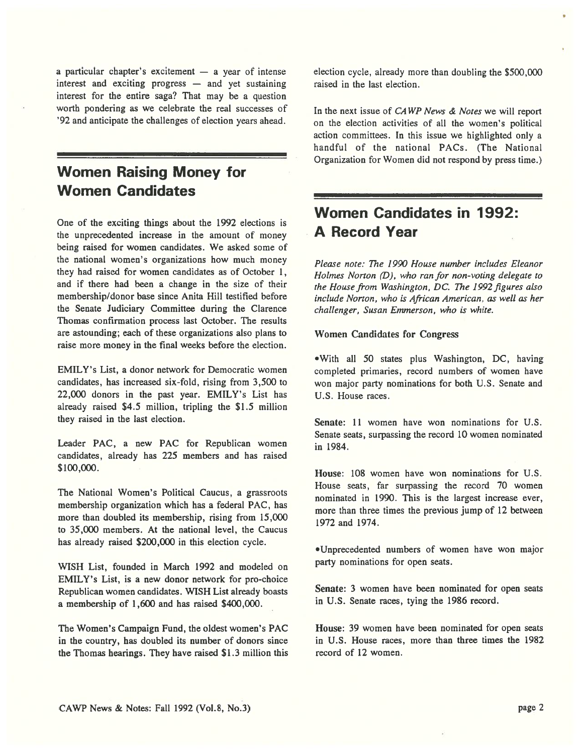<sup>a</sup> particular chapter's excitement — <sup>a</sup> year of intense interest and exciting progress — and ye<sup>t</sup> sustaining interest for the entire saga? That may be <sup>a</sup> question worth pondering as we celebrate the real successes of '92 and anticipate the challenges of election years ahead.

# Women Raising Money for Women Candidates

One of the exciting things about the 1992 elections is the unprecedented increase in the amount of money being raised for women candidates. We asked some of the national women's organizations how much money they had raised for women candidates as of October 1, and if there had been <sup>a</sup> change in the size of their membership/donor base since Anita Hill testified before the Senate Judiciary Committee during the Clarence Thomas confirmation process last October. The results are astounding; each of these organizations also plans to raise more money in the final weeks before the election.

EMILY's List, <sup>a</sup> donor network for Democratic women candidates, has increased six-fold, rising from 3,500 to 22,000 donors in the pas<sup>t</sup> year. EMILY's List has already raised \$4.5 million, tripling the \$1.5 million they raised in the last election.

Leader PAC, <sup>a</sup> new PAC for Republican women candidates, already has 225 members and has raised \$100,000.

The National Women's Political Caucus, <sup>a</sup> grassroots membership organization which has <sup>a</sup> federal PAC, has more than doubled its membership, rising from 15,000 to 35,000 members. At the national level, the Caucus has already raised \$200,000 in this election cycle.

WISH List, founded in March 1992 and modeled on EMILY's List, is <sup>a</sup> new donor network for pro-choice Republican women candidates. WISH List already boasts <sup>a</sup> membership of 1,600 and has raised \$400,000.

The Women's Campaign Fund, the oldest women's PAC in the country, has doubled its number of donors since the Thomas hearings. They have raised \$1.3 million this election cycle, already more than doubling the \$500,000 raised in the last election.

In the next issue of CAWP News & Notes we will report on the election activities of all the women's political action committees. In this issue we highlighted only <sup>a</sup> handful of the national PACs. (The National Organization for Women did not respond by press time.)

# Women Candidates in 1992: A Record Year

Please note: The 1990 House number includes Eleanor Holmes Norton (D), who ran for non-voting delegate to the House from Washington, DC. The 1992 figures also include Norton, who is African American, as well as her challenger, Susan Emmerson, who is white.

## Women Candidates for Congress

•With all 50 states plus Washington, DC, having completed primaries, record numbers of women have won major party nominations for both U.S. Senate and U.S. House races.

Senate: 11 women have won nominations for U.S. Senate seats, surpassing the record 10 women nominated in 1984.

House: 108 women have won nominations for U.S. House seats, far surpassing the record 70 women nominated in 1990. This is the largest increase ever, more than three times the previous jump of 12 between 1972 and 1974.

•Unprecedented numbers of women have won major party nominations for open seats.

Senate: 3 women have been nominated for open seats in U.S. Senate races, tying the 1986 record.

House: 39 women have been nominated for open seats in U.S. House races, more than three times the 1982 record of 12 women.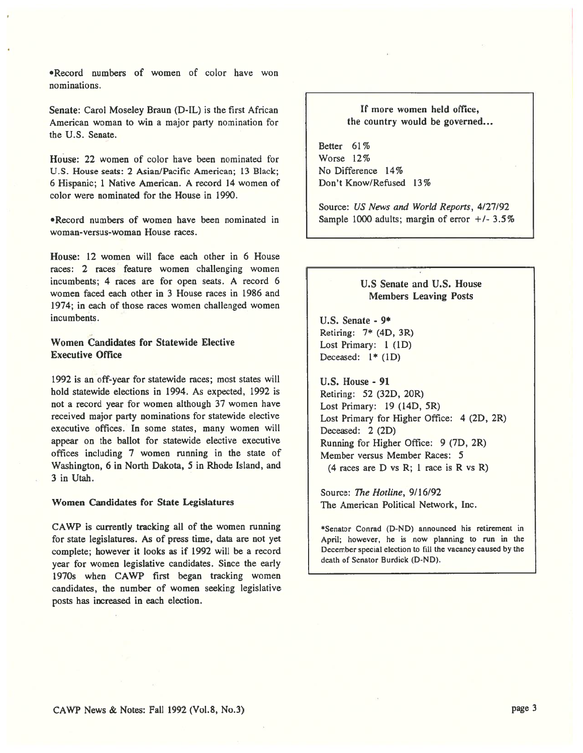•Record numbers of women of color have won nominations.

Senate: Carol Moseley Braun (D-IL) is the first African American woman to win <sup>a</sup> major party nomination for the U.S. Senate.

House: 22 women of color have been nominated for U.S. House seats: 2 Asian/Pacific American; 13 Black; 6 Hispanic; 1 Native American. A record 14 women of color were nominated for the House in 1990.

•Record numbers of women have been nominated in woman-versus-woman House races.

House: 12 women will face each other in 6 House races: 2 races feature women challenging women incumbents; 4 races are for open seats. A record 6 women faced each other in 3 House races in 1986 and 1974; in each of those races women challenged women incumbents.

## Women Candidates for Statewide Elective Executive Office

1992 is an off-year for statewide races; most states will hold statewide elections in 1994. As expected, 1992 is not <sup>a</sup> record year for women although 37 women have received major party nominations for statewide elective executive offices. In some states, many women will appear on the ballot for statewide elective executive offices including <sup>7</sup> women running in the state of Washington, <sup>6</sup> in North Dakota, 5 in Rhode Island, and 3 in Utah.

#### Women Candidates for State Legislatures

CAWP is currently tracking all of the women running for state legislatures. As of press time, data are not ye<sup>t</sup> complete; however it looks as if 1992 will be <sup>a</sup> record year for women legislative candidates. Since the early 1970s when CAWP first began tracking women candidates, the number of women seeking legislative posts has increased in each election.

## If more women held office, the country would be governed...

Better 61% Worse 12% No Difference 14% Don't Know/Refused 13%

Source: US News and World Reports, 4/27/92 Sample 1000 adults; margin of error  $+/- 3.5\%$ 

## U.S Senate and U.S. House Members Leaving Posts

U.S. Senate - 9\* Retiring: 7\* (4D, 3R) Lost Primary: 1 (ID) Deceased:  $1*(1D)$ 

U.S. House - 91 Retiring: 52 (32D, 20R) Lost Primary: 19 (14D, 5R) Lost Primary for Higher Office: 4 (2D, 2R) Deceased: 2 (2D) Running for Higher Office: 9 (7D, 2R) Member versus Member Races: 5 (4 races are D vs R; 1 race is R vs R)

Source: The Hotline, 9/16/92 The American Political Network, Inc.

\*Senator Conrad (D-ND) announced his retirement in April; however, he is now <sup>p</sup>lanning to run in the December special election to fill the vacancy caused by the death of Senator Burdick (D-ND).